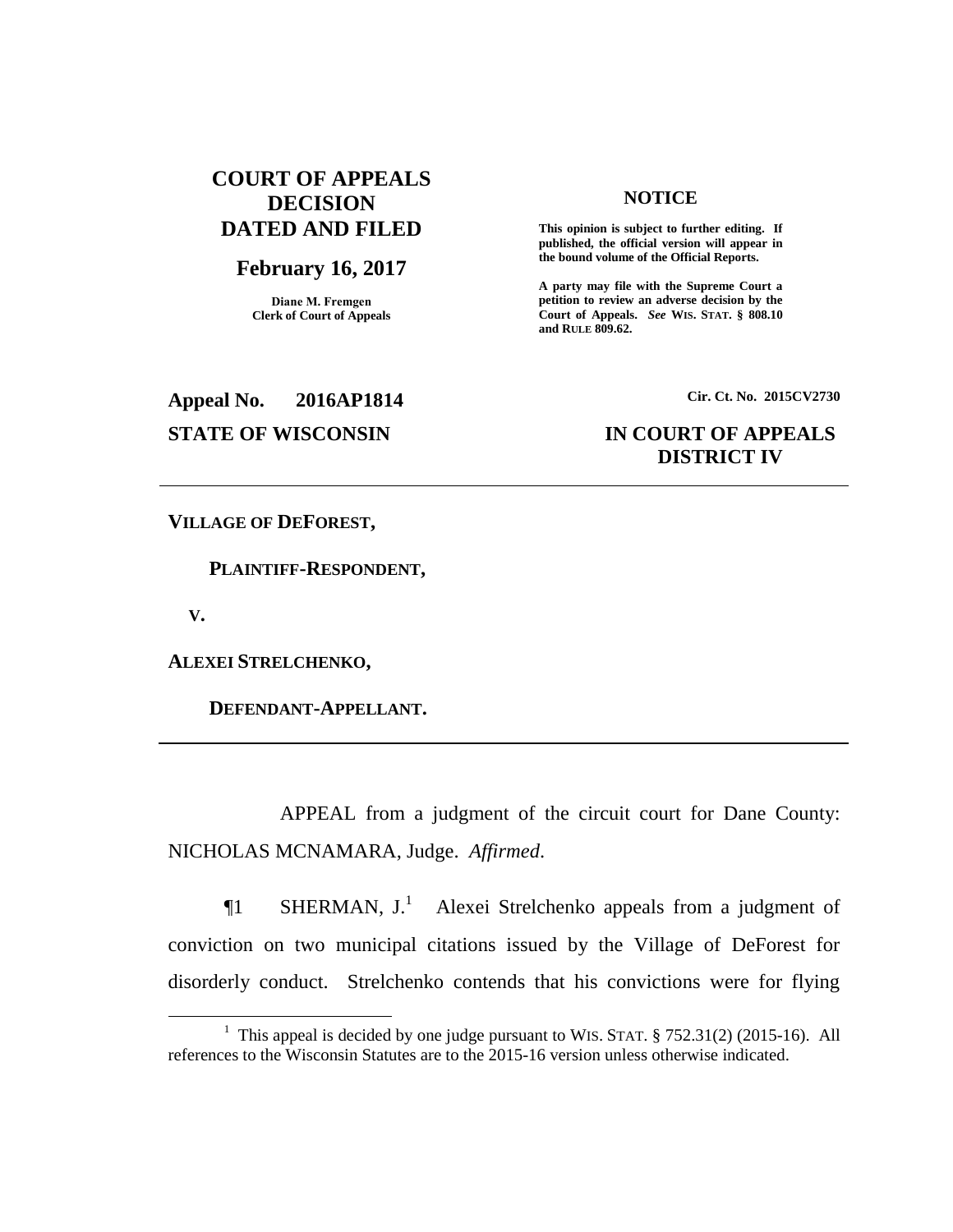# **COURT OF APPEALS DECISION DATED AND FILED**

## **February 16, 2017**

**Diane M. Fremgen Clerk of Court of Appeals**

### **NOTICE**

**This opinion is subject to further editing. If published, the official version will appear in the bound volume of the Official Reports.** 

**A party may file with the Supreme Court a petition to review an adverse decision by the Court of Appeals.** *See* **WIS. STAT. § 808.10 and RULE 809.62.** 

**Appeal No. 2016AP1814 Cir. Ct. No. 2015CV2730**

## **STATE OF WISCONSIN IN COURT OF APPEALS DISTRICT IV**

**VILLAGE OF DEFOREST,**

 **PLAINTIFF-RESPONDENT,**

 **V.**

 $\overline{a}$ 

**ALEXEI STRELCHENKO,**

 **DEFENDANT-APPELLANT.**

APPEAL from a judgment of the circuit court for Dane County: NICHOLAS MCNAMARA, Judge. *Affirmed*.

**The SHERMAN, J.**<sup>1</sup> Alexei Strelchenko appeals from a judgment of conviction on two municipal citations issued by the Village of DeForest for disorderly conduct. Strelchenko contends that his convictions were for flying

<sup>&</sup>lt;sup>1</sup> This appeal is decided by one judge pursuant to WIS. STAT.  $\S$  752.31(2) (2015-16). All references to the Wisconsin Statutes are to the 2015-16 version unless otherwise indicated.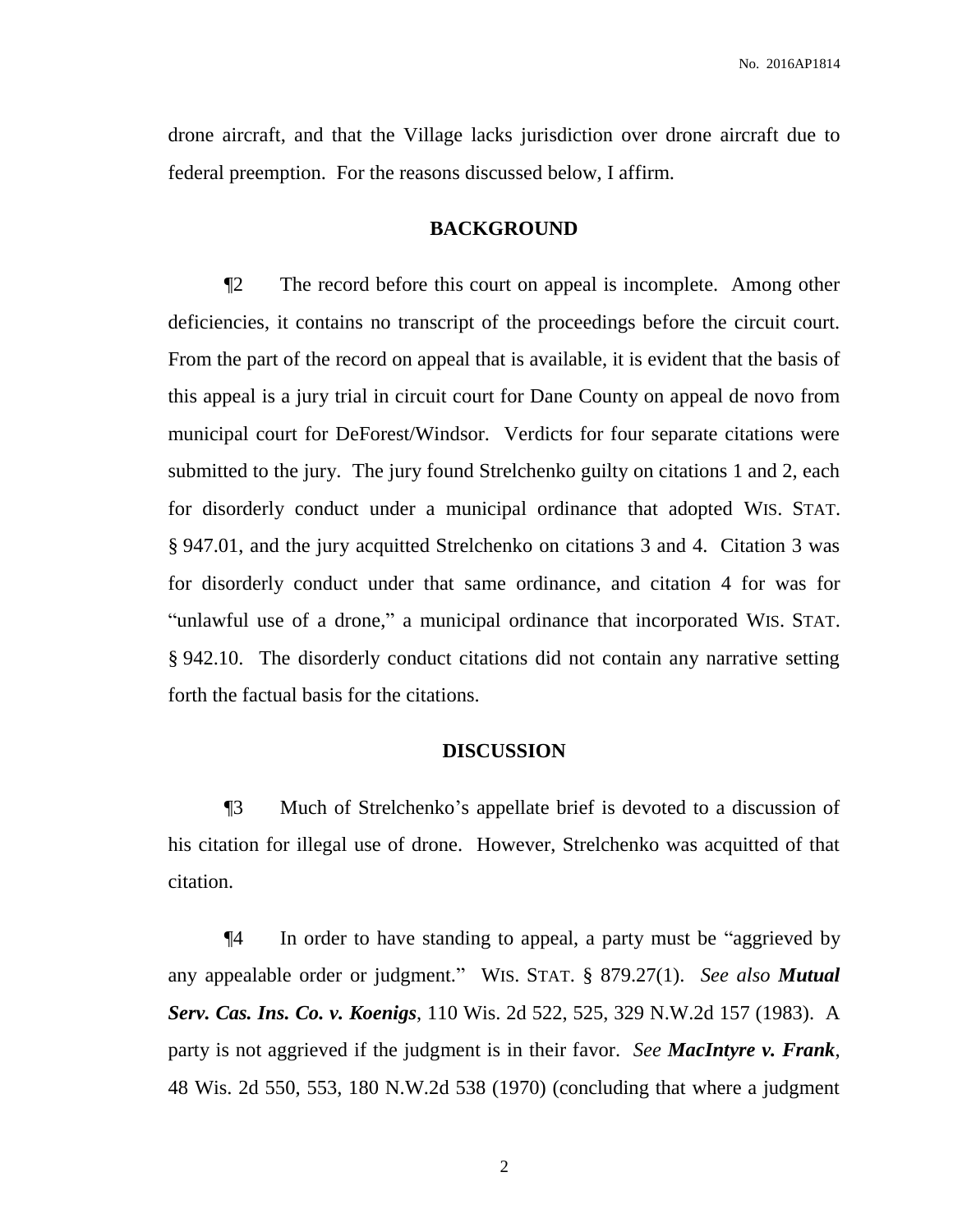drone aircraft, and that the Village lacks jurisdiction over drone aircraft due to federal preemption. For the reasons discussed below, I affirm.

## **BACKGROUND**

¶2 The record before this court on appeal is incomplete. Among other deficiencies, it contains no transcript of the proceedings before the circuit court. From the part of the record on appeal that is available, it is evident that the basis of this appeal is a jury trial in circuit court for Dane County on appeal de novo from municipal court for DeForest/Windsor. Verdicts for four separate citations were submitted to the jury. The jury found Strelchenko guilty on citations 1 and 2, each for disorderly conduct under a municipal ordinance that adopted WIS. STAT. § 947.01, and the jury acquitted Strelchenko on citations 3 and 4. Citation 3 was for disorderly conduct under that same ordinance, and citation 4 for was for "unlawful use of a drone," a municipal ordinance that incorporated WIS. STAT. § 942.10. The disorderly conduct citations did not contain any narrative setting forth the factual basis for the citations.

#### **DISCUSSION**

¶3 Much of Strelchenko's appellate brief is devoted to a discussion of his citation for illegal use of drone. However, Strelchenko was acquitted of that citation.

¶4 In order to have standing to appeal, a party must be "aggrieved by any appealable order or judgment." WIS. STAT. § 879.27(1). *See also Mutual Serv. Cas. Ins. Co. v. Koenigs*, 110 Wis. 2d 522, 525, 329 N.W.2d 157 (1983). A party is not aggrieved if the judgment is in their favor. *See MacIntyre v. Frank*, 48 Wis. 2d 550, 553, 180 N.W.2d 538 (1970) (concluding that where a judgment

2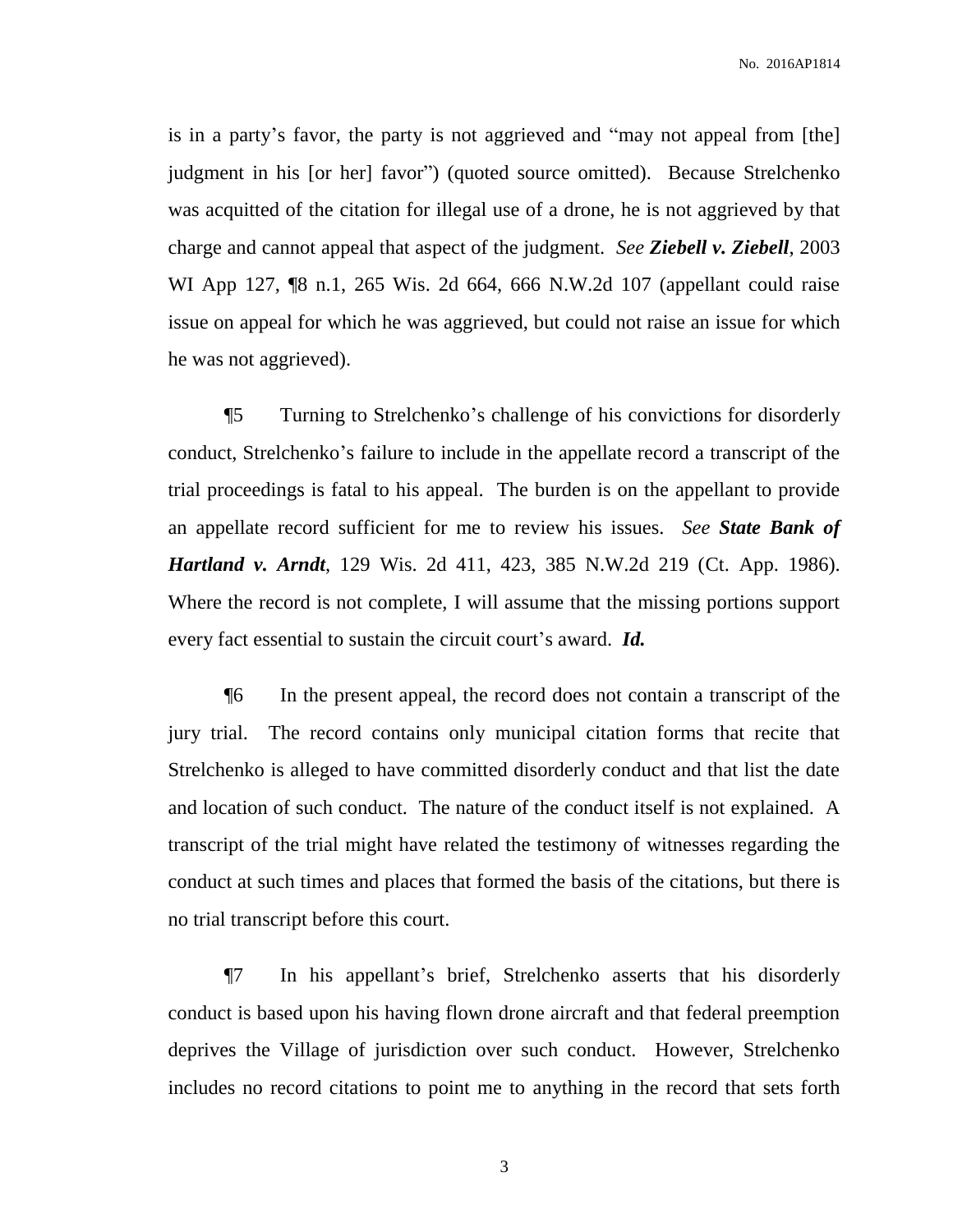No. 2016AP1814

is in a party's favor, the party is not aggrieved and "may not appeal from [the] judgment in his [or her] favor") (quoted source omitted). Because Strelchenko was acquitted of the citation for illegal use of a drone, he is not aggrieved by that charge and cannot appeal that aspect of the judgment. *See Ziebell v. Ziebell*, 2003 WI App 127, ¶8 n.1, 265 Wis. 2d 664, 666 N.W.2d 107 (appellant could raise issue on appeal for which he was aggrieved, but could not raise an issue for which he was not aggrieved).

¶5 Turning to Strelchenko's challenge of his convictions for disorderly conduct, Strelchenko's failure to include in the appellate record a transcript of the trial proceedings is fatal to his appeal. The burden is on the appellant to provide an appellate record sufficient for me to review his issues. *See State Bank of Hartland v. Arndt*, 129 Wis. 2d 411, 423, 385 N.W.2d 219 (Ct. App. 1986). Where the record is not complete, I will assume that the missing portions support every fact essential to sustain the circuit court's award. *Id.*

¶6 In the present appeal, the record does not contain a transcript of the jury trial. The record contains only municipal citation forms that recite that Strelchenko is alleged to have committed disorderly conduct and that list the date and location of such conduct. The nature of the conduct itself is not explained. A transcript of the trial might have related the testimony of witnesses regarding the conduct at such times and places that formed the basis of the citations, but there is no trial transcript before this court.

¶7 In his appellant's brief, Strelchenko asserts that his disorderly conduct is based upon his having flown drone aircraft and that federal preemption deprives the Village of jurisdiction over such conduct. However, Strelchenko includes no record citations to point me to anything in the record that sets forth

3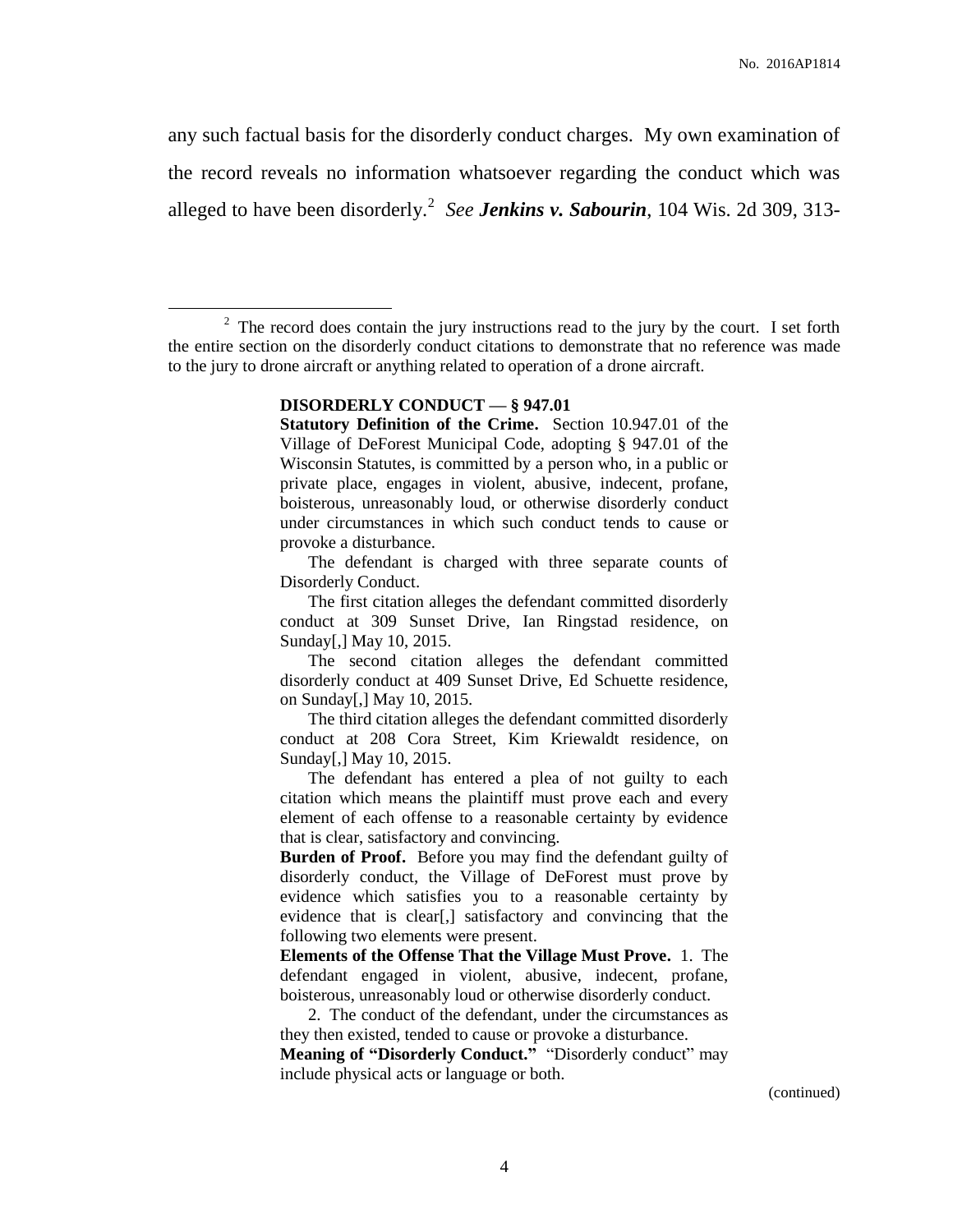any such factual basis for the disorderly conduct charges. My own examination of the record reveals no information whatsoever regarding the conduct which was alleged to have been disorderly.<sup>2</sup> See **Jenkins v. Sabourin**, 104 Wis. 2d 309, 313-

#### **DISORDERLY CONDUCT — § 947.01**

 $\overline{a}$ 

**Statutory Definition of the Crime.** Section 10.947.01 of the Village of DeForest Municipal Code, adopting § 947.01 of the Wisconsin Statutes, is committed by a person who, in a public or private place, engages in violent, abusive, indecent, profane, boisterous, unreasonably loud, or otherwise disorderly conduct under circumstances in which such conduct tends to cause or provoke a disturbance.

The defendant is charged with three separate counts of Disorderly Conduct.

The first citation alleges the defendant committed disorderly conduct at 309 Sunset Drive, Ian Ringstad residence, on Sunday[,] May 10, 2015.

The second citation alleges the defendant committed disorderly conduct at 409 Sunset Drive, Ed Schuette residence, on Sunday[,] May 10, 2015.

The third citation alleges the defendant committed disorderly conduct at 208 Cora Street, Kim Kriewaldt residence, on Sunday[,] May 10, 2015.

The defendant has entered a plea of not guilty to each citation which means the plaintiff must prove each and every element of each offense to a reasonable certainty by evidence that is clear, satisfactory and convincing.

**Burden of Proof.** Before you may find the defendant guilty of disorderly conduct, the Village of DeForest must prove by evidence which satisfies you to a reasonable certainty by evidence that is clear[,] satisfactory and convincing that the following two elements were present.

**Elements of the Offense That the Village Must Prove.** 1. The defendant engaged in violent, abusive, indecent, profane, boisterous, unreasonably loud or otherwise disorderly conduct.

2. The conduct of the defendant, under the circumstances as they then existed, tended to cause or provoke a disturbance.

**Meaning of "Disorderly Conduct."** "Disorderly conduct" may include physical acts or language or both.

(continued)

 $2^2$  The record does contain the jury instructions read to the jury by the court. I set forth the entire section on the disorderly conduct citations to demonstrate that no reference was made to the jury to drone aircraft or anything related to operation of a drone aircraft.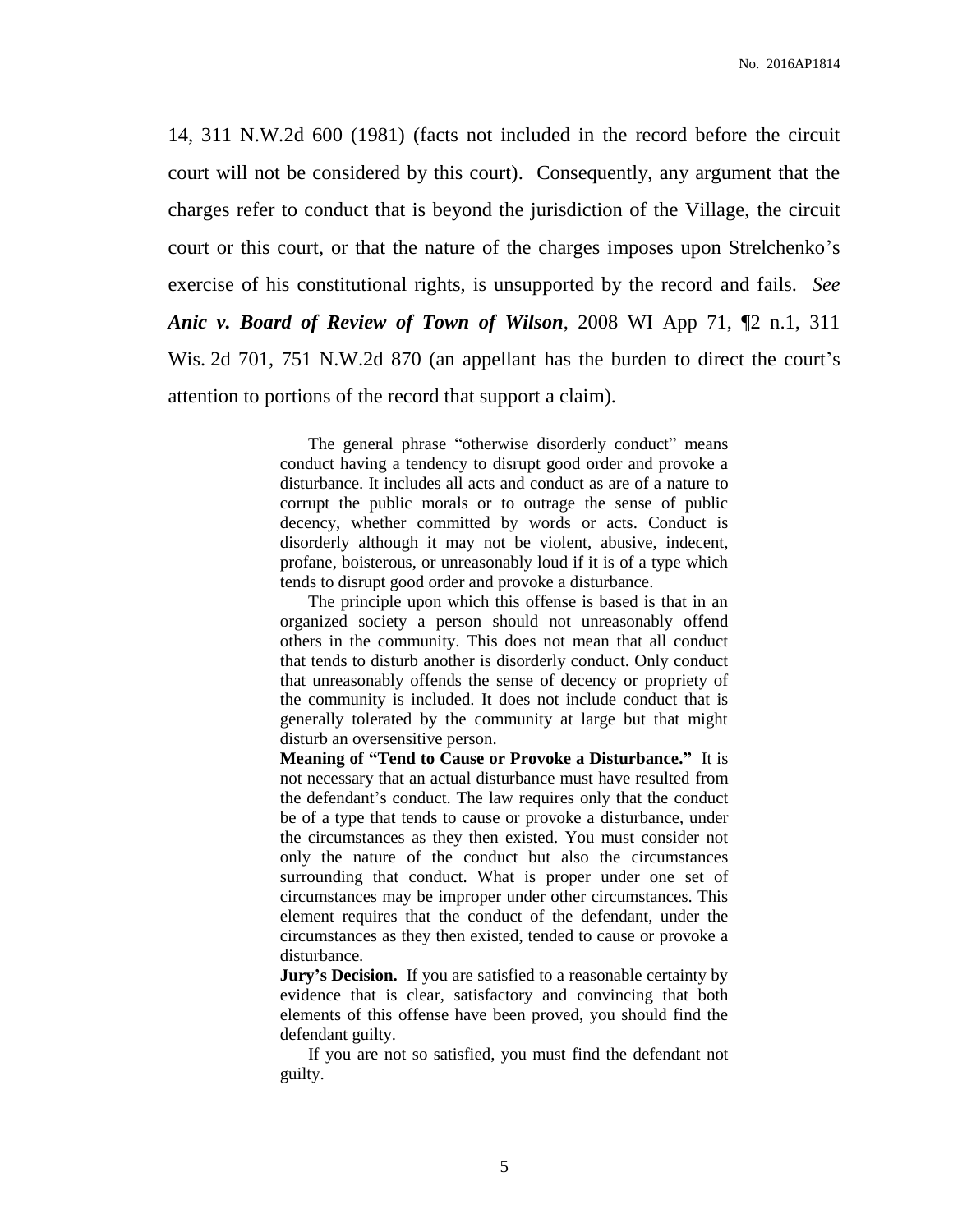14, 311 N.W.2d 600 (1981) (facts not included in the record before the circuit court will not be considered by this court). Consequently, any argument that the charges refer to conduct that is beyond the jurisdiction of the Village, the circuit court or this court, or that the nature of the charges imposes upon Strelchenko's exercise of his constitutional rights, is unsupported by the record and fails. *See Anic v. Board of Review of Town of Wilson*, 2008 WI App 71, ¶2 n.1, 311 Wis. 2d 701, 751 N.W.2d 870 (an appellant has the burden to direct the court's attention to portions of the record that support a claim).

> The general phrase "otherwise disorderly conduct" means conduct having a tendency to disrupt good order and provoke a disturbance. It includes all acts and conduct as are of a nature to corrupt the public morals or to outrage the sense of public decency, whether committed by words or acts. Conduct is disorderly although it may not be violent, abusive, indecent, profane, boisterous, or unreasonably loud if it is of a type which tends to disrupt good order and provoke a disturbance.

 $\overline{a}$ 

The principle upon which this offense is based is that in an organized society a person should not unreasonably offend others in the community. This does not mean that all conduct that tends to disturb another is disorderly conduct. Only conduct that unreasonably offends the sense of decency or propriety of the community is included. It does not include conduct that is generally tolerated by the community at large but that might disturb an oversensitive person.

**Meaning of "Tend to Cause or Provoke a Disturbance."** It is not necessary that an actual disturbance must have resulted from the defendant's conduct. The law requires only that the conduct be of a type that tends to cause or provoke a disturbance, under the circumstances as they then existed. You must consider not only the nature of the conduct but also the circumstances surrounding that conduct. What is proper under one set of circumstances may be improper under other circumstances. This element requires that the conduct of the defendant, under the circumstances as they then existed, tended to cause or provoke a disturbance.

**Jury's Decision.** If you are satisfied to a reasonable certainty by evidence that is clear, satisfactory and convincing that both elements of this offense have been proved, you should find the defendant guilty.

If you are not so satisfied, you must find the defendant not guilty.